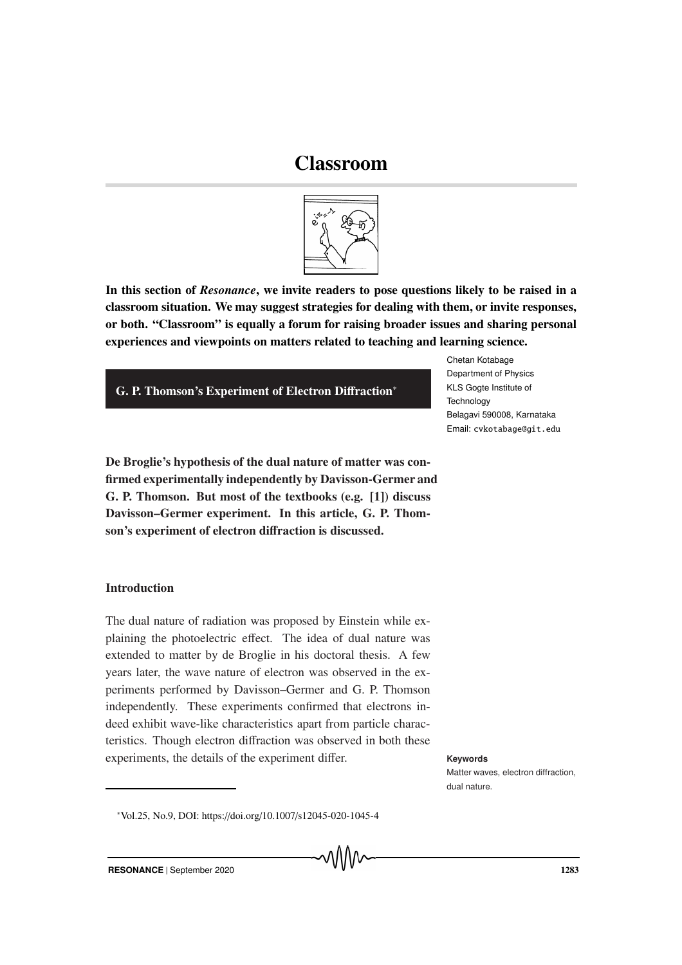# Classroom



In this section of *Resonance*, we invite readers to pose questions likely to be raised in a classroom situation. We may suggest strategies for dealing with them, or invite responses, or both. "Classroom" is equally a forum for raising broader issues and sharing personal experiences and viewpoints on matters related to teaching and learning science.

## G. P. Thomson's Experiment of Electron Diffraction<sup>∗</sup>

Chetan Kotabage Department of Physics KLS Gogte Institute of **Technology** Belagavi 590008, Karnataka Email: cvkotabage@git.edu

De Broglie's hypothesis of the dual nature of matter was confirmed experimentally independently by Davisson-Germer and G. P. Thomson. But most of the textbooks (e.g. [1]) discuss Davisson–Germer experiment. In this article, G. P. Thomson's experiment of electron diffraction is discussed.

## Introduction

The dual nature of radiation was proposed by Einstein while explaining the photoelectric effect. The idea of dual nature was extended to matter by de Broglie in his doctoral thesis. A few years later, the wave nature of electron was observed in the experiments performed by Davisson–Germer and G. P. Thomson independently. These experiments confirmed that electrons indeed exhibit wave-like characteristics apart from particle characteristics. Though electron diffraction was observed in both these experiments, the details of the experiment differ. **Keywords** 

Matter waves, electron diffraction, dual nature.

<sup>∗</sup>Vol.25, No.9, DOI: https://doi.org/10.1007/s12045-020-1045-4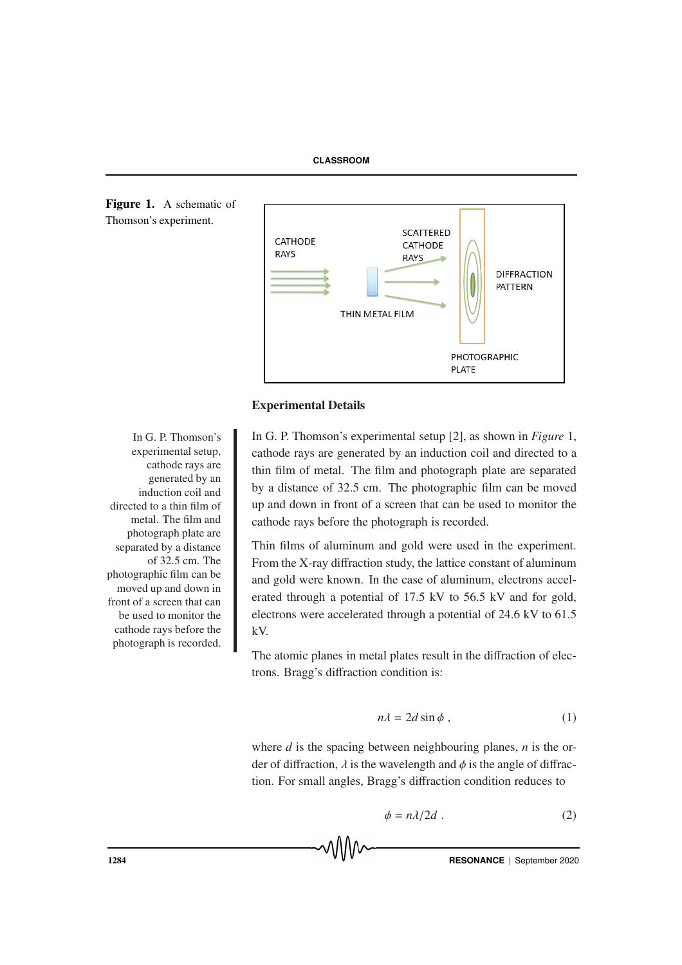



#### Experimental Details

G. P. Thomson's experimental setup [2], as shown in *Figure* 1, cathode rays are generated by an induction coil and directed to a thin film of metal. The film and photograph plate are separated by a distance of 32.5 cm. The photographic film can be moved up and down in front of a screen that can be used to monitor the cathode rays before the photograph is recorded.

Thin films of aluminum and gold were used in the experiment. From the X-ray diffraction study, the lattice constant of aluminum and gold were known. In the case of aluminum, electrons accelerated through a potential of 17.5 kV to 56.5 kV and for gold, electrons were accelerated through a potential of 24.6 kV to 61.5 kV.

The atomic planes in metal plates result in the diffraction of electrons. Bragg's diffraction condition is:

$$
n\lambda = 2d\sin\phi ,\qquad (1)
$$

where *d* is the spacing between neighbouring planes, *n* is the order of diffraction,  $\lambda$  is the wavelength and  $\phi$  is the angle of diffraction. For small angles, Bragg's diffraction condition reduces to

$$
\phi = n\lambda/2d \tag{2}
$$

1284 **RESONANCE** | September 2020

In G. P. Thomson's experimental setup, cathode rays are generated by an induction coil and directed to a thin film of metal. The film and photograph plate are separated by a distance of 32.5 cm. The photographic film can be moved up and down in front of a screen that can be used to monitor the cathode rays before the photograph is recorded.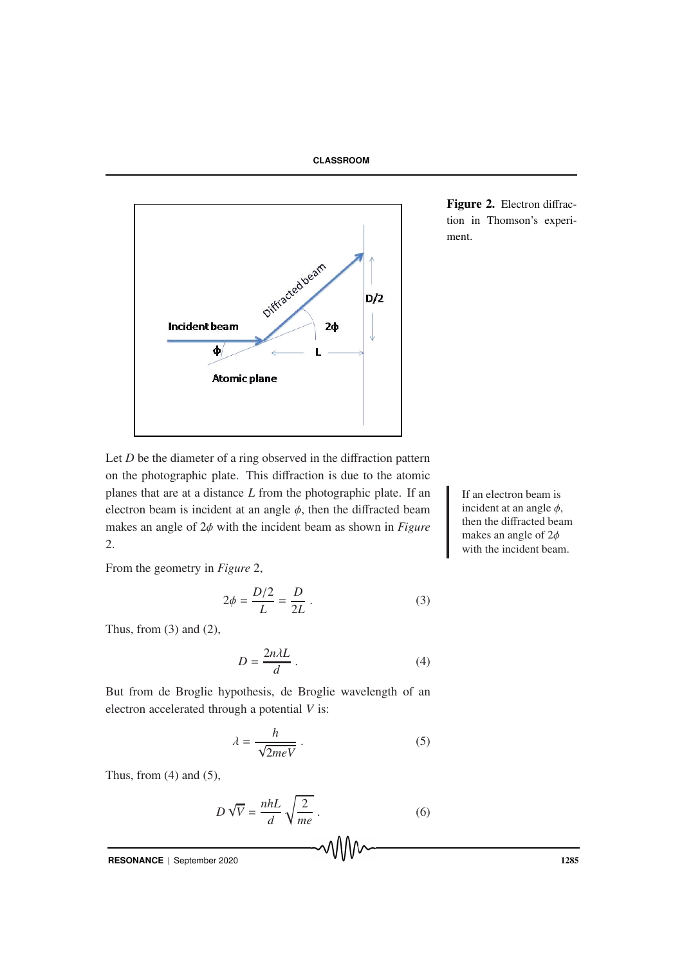



Figure 2. Electron diffraction in Thomson's experiment.

Let  $D$  be the diameter of a ring observed in the diffraction pattern on the photographic plate. This diffraction is due to the atomic planes that are at a distance  $L$  from the photographic plate. If an  $\parallel$  If an electron beam is electron beam is incident at an angle  $\phi$ , then the diffracted beam makes an angle of 2φ with the incident beam as shown in *Figure* 2.

From the geometry in *Figure* 2,

$$
2\phi = \frac{D/2}{L} = \frac{D}{2L} \,. \tag{3}
$$

Thus, from  $(3)$  and  $(2)$ ,

$$
D = \frac{2n\lambda L}{d} \,. \tag{4}
$$

But from de Broglie hypothesis, de Broglie wavelength of an electron accelerated through a potential *V* is:

$$
\lambda = \frac{h}{\sqrt{2meV}}\,. \tag{5}
$$

Thus, from  $(4)$  and  $(5)$ ,

$$
D\sqrt{V} = \frac{nhL}{d}\sqrt{\frac{2}{me}}.
$$
 (6)

**RESONANCE** | September 2020 1285

incident at an angle  $\phi$ , then the diffracted beam makes an angle of 2φ with the incident beam.